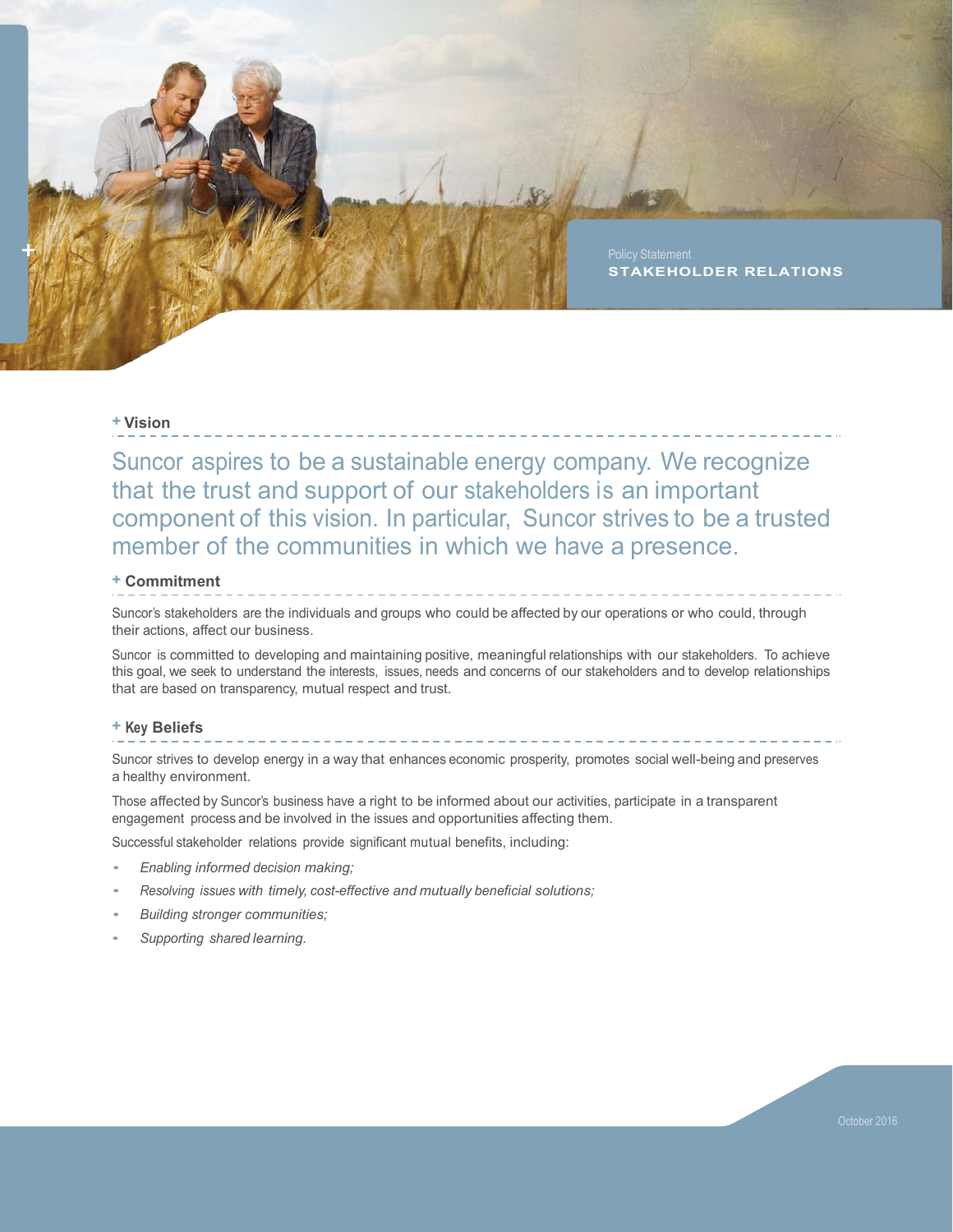

# **+ Vision**

 Suncor aspires to be a sustainable energy company. We recognize that the trust and support of our stakeholders is an important component of this vision. In particular, Suncor strives to be a trusted member of the communities in which we have a presence.

# **+ Commitment**

 Suncor's stakeholders are the individuals and groups who could be affected by our operations or who could, through their actions, affect our business.

 Suncor is committed to developing and maintaining positive, meaningful relationships with our stakeholders. To achieve this goal, we seek to understand the interests, issues, needs and concerns of our stakeholders and to develop relationships that are based on transparency, mutual respect and trust.

## **+ Key Beliefs**

 Suncor strives to develop energy in a way that enhances economic prosperity, promotes social well-being and preserves a healthy environment.

 Those affected by Suncor's business have a right to be informed about our activities, participate in a transparent engagement process and be involved in the issues and opportunities affecting them.

Successful stakeholder relations provide significant mutual benefits, including:

- *Enabling informed decision making;*
- *Resolving issues with timely, cost-effective and mutually beneficial solutions;*
- *Building stronger communities;*
- *Supporting shared learning.*